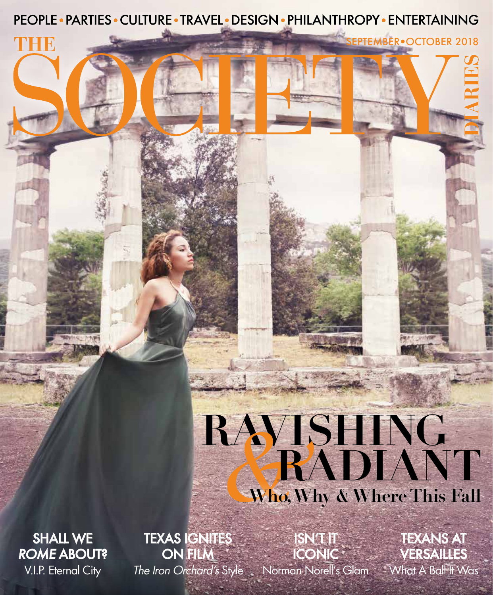PEOPLE • PARTIES • CULTURE • TRAVEL • DESIGN • PHILANTHROPY • ENTERTAINING

SEPTEMBER•OCTOBER 2018

## **RAVISHING** *&***RADIANT Who, Why & Where This Fall**

SHALL WE ROME ABOUT? V.I.P. Eternal City

ANHI B

TEXAS IGNITES ON FILM

ISN'T IT

The Iron Orchard's Style Norman Norell's Glam What A Ball It Was ICONIC VERSAILLES TEXANS AT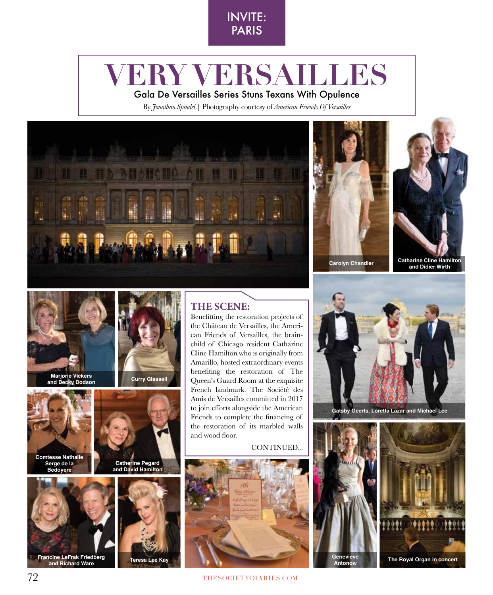

## **VERY VERSAILLES**

Gala De Versailles Series Stuns Texans With Opulence

By *Jonathan Spindel* | Photography courtesy of *American Friends Of Versailles*









**Marjorie Vickers and Becky Dodson**



**Serge de la Bedoyere**



**Francine LeFrak Friedberg and Richard Ware Teresa Lee Kay**



**Curry Glassell**

**Catherine Pegard and David Hamilton** Beneftting the restoration projects of the Château de Versailles, the American Friends of Versailles, the brainchild of Chicago resident Catharine Cline Hamilton who is originally from Amarillo, hosted extraordinary events

**THE SCENE:**

benefting the restoration of The Queen's Guard Room at the exquisite French landmark. The Société des Amis de Versailles committed in 2017 to join efforts alongside the American Friends to complete the fnancing of the restoration of its marbled walls and wood floor.

CONTINUED...







**Gatsby Geerts, Loretta Lazar and Michael Lee** 

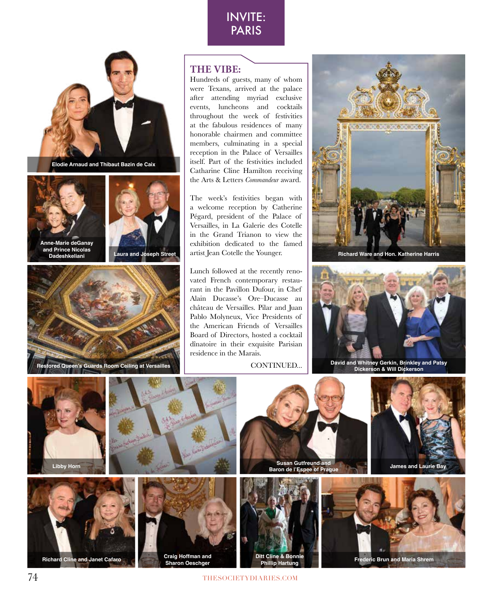



**Elodie Arnaud and Thibaut Bazin de Caix** 



**Anne-Marie deGanay and Prince Nicolas Dadeshkeliani**





**Restored Queen's Guards Room Ceiling at Versailles**

## **THE VIBE:**

Hundreds of guests, many of whom were Texans, arrived at the palace after attending myriad exclusive events, luncheons and cocktails throughout the week of festivities at the fabulous residences of many honorable chairmen and committee members, culminating in a special reception in the Palace of Versailles itself. Part of the festivities included Catharine Cline Hamilton receiving the Arts & Letters *Commandeur* award.

The week's festivities began with a welcome reception by Catherine Pégard, president of the Palace of Versailles, in La Galerie des Cotelle in the Grand Trianon to view the exhibition dedicated to the famed artist Jean Cotelle the Younger. **Laura and Joseph Street Richard Ware and Hon. Katherine Harris**

> Lunch followed at the recently renovated French contemporary restaurant in the Pavillon Dufour, in Chef Alain Ducasse's Ore–Ducasse au château de Versailles. Pilar and Juan Pablo Molyneux, Vice Presidents of the American Friends of Versailles Board of Directors, hosted a cocktail dînatoire in their exquisite Parisian residence in the Marais.

CONTINUED...





**David and Whitney Gerkin, Brinkley and Patsy Dickerson & Will Dickerson**









**Sharon Oeschger**